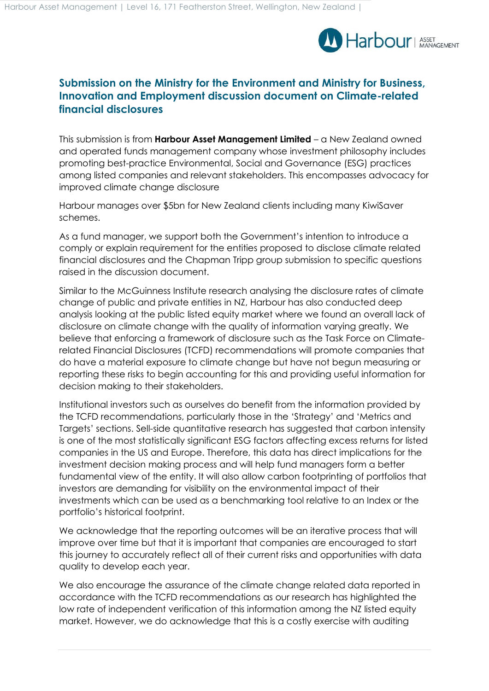

## **Submission on the Ministry for the Environment and Ministry for Business, Innovation and Employment discussion document on Climate-related financial disclosures**

This submission is from **Harbour Asset Management Limited** – a New Zealand owned and operated funds management company whose investment philosophy includes promoting best-practice Environmental, Social and Governance (ESG) practices among listed companies and relevant stakeholders. This encompasses advocacy for improved climate change disclosure

Harbour manages over \$5bn for New Zealand clients including many KiwiSaver schemes.

As a fund manager, we support both the Government's intention to introduce a comply or explain requirement for the entities proposed to disclose climate related financial disclosures and the Chapman Tripp group submission to specific questions raised in the discussion document.

Similar to the McGuinness Institute research analysing the disclosure rates of climate change of public and private entities in NZ, Harbour has also conducted deep analysis looking at the public listed equity market where we found an overall lack of disclosure on climate change with the quality of information varying greatly. We believe that enforcing a framework of disclosure such as the Task Force on Climaterelated Financial Disclosures (TCFD) recommendations will promote companies that do have a material exposure to climate change but have not begun measuring or reporting these risks to begin accounting for this and providing useful information for decision making to their stakeholders.

Institutional investors such as ourselves do benefit from the information provided by the TCFD recommendations, particularly those in the 'Strategy' and 'Metrics and Targets' sections. Sell-side quantitative research has suggested that carbon intensity is one of the most statistically significant ESG factors affecting excess returns for listed companies in the US and Europe. Therefore, this data has direct implications for the investment decision making process and will help fund managers form a better fundamental view of the entity. It will also allow carbon footprinting of portfolios that investors are demanding for visibility on the environmental impact of their investments which can be used as a benchmarking tool relative to an Index or the portfolio's historical footprint.

We acknowledge that the reporting outcomes will be an iterative process that will improve over time but that it is important that companies are encouraged to start this journey to accurately reflect all of their current risks and opportunities with data quality to develop each year.

We also encourage the assurance of the climate change related data reported in accordance with the TCFD recommendations as our research has highlighted the low rate of independent verification of this information among the NZ listed equity market. However, we do acknowledge that this is a costly exercise with auditing